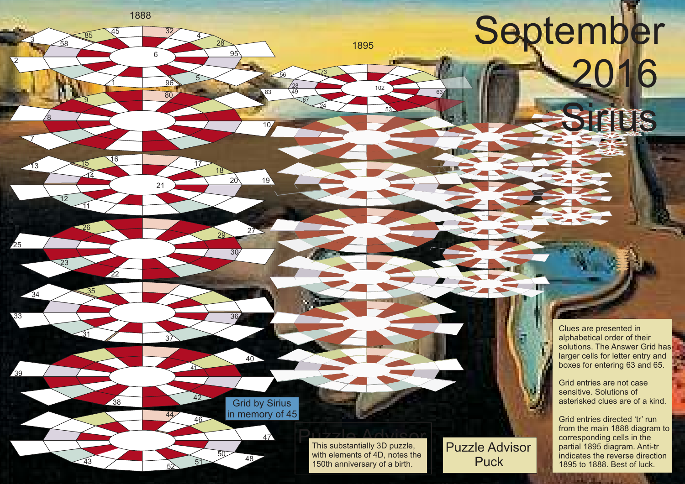## September 16

LAS BRE

p.

Clues are presented in alphabetical order of their solutions. The Answer Grid has larger cells for letter entry and boxes for entering 63 and 65.

Grid entries are not case sensitive. Solutions of asterisked clues are of a kind.

Grid entries directed 'tr' run from the main 1888 diagram to corresponding cells in the partial 1895 diagram. Anti-tr indicates the reverse direction 1895 to 1888. Best of luck.

Puzzle Advisor This substantially 3D puzzle, with elements of 4D, notes t<br>150th anniversary of a birth. with elements of 4D, notes the Puzzle Advisor

Puck

Grid by Grid by Sirius in memory of 45

 $47$ 

40

96

6

16 17 <sup>14</sup> <sup>18</sup>

<sup>26</sup> <sup>27</sup> <sup>29</sup>

37

41

 $42$ 

51

44 46

52

80

28

21 20 19

30

 $\overline{36}$ 

 $\overline{50}$  48

4

5

<u>95</u>

10

83

24

102

1895

53

63

E

67 49 28

<sup>73</sup> <sup>56</sup>

<sup>85</sup> <sup>45</sup> <sup>32</sup>

1888

 $\overline{1}$ 

22

38

<u>ରୁ</u>

11

31

43

12

23

<sup>34</sup> <sup>35</sup>

58

2

<u>3</u>

7

 $-13$ 

25

33

39

8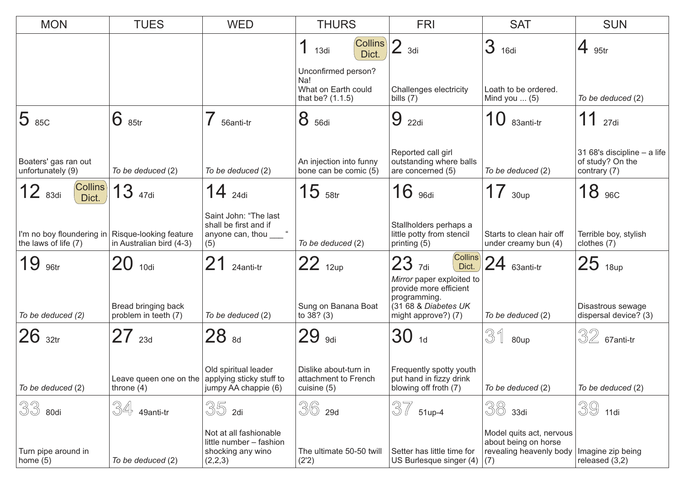| <b>MON</b>                                                                 | <b>TUES</b>                                                         | <b>WED</b>                                                                        | <b>THURS</b>                                                          | <b>FRI</b>                                                                                                         | <b>SAT</b>                                                                         | <b>SUN</b>                                                      |
|----------------------------------------------------------------------------|---------------------------------------------------------------------|-----------------------------------------------------------------------------------|-----------------------------------------------------------------------|--------------------------------------------------------------------------------------------------------------------|------------------------------------------------------------------------------------|-----------------------------------------------------------------|
|                                                                            |                                                                     |                                                                                   | <b>Collins</b><br>1<br>13di<br>Dict.                                  | $\overline{2}$<br>3di                                                                                              | 3<br>16di                                                                          | 4<br>95tr                                                       |
|                                                                            |                                                                     |                                                                                   | Unconfirmed person?<br>Na!<br>What on Earth could<br>that be? (1.1.5) | Challenges electricity<br>bills $(7)$                                                                              | Loath to be ordered.<br>Mind you $\dots$ (5)                                       | To be deduced (2)                                               |
| $ 5 $ 85C                                                                  | 6<br>85tr                                                           | 56anti-tr                                                                         | 8<br>56di                                                             | 9<br>22di                                                                                                          | 10<br>83anti-tr                                                                    | 11<br>27di                                                      |
| Boaters' gas ran out<br>unfortunately (9)                                  | To be deduced (2)                                                   | To be deduced (2)                                                                 | An injection into funny<br>bone can be comic (5)                      | Reported call girl<br>outstanding where balls<br>are concerned (5)                                                 | To be deduced (2)                                                                  | 31 68's discipline - a life<br>of study? On the<br>contrary (7) |
| <b>Collins</b><br>$12$ $_{83di}$<br>Dict.                                  | 3<br>47di                                                           | 14<br>24di                                                                        | 15<br>58tr                                                            | 16<br>96di                                                                                                         | 17<br>30 <sub>up</sub>                                                             | 18<br>96C                                                       |
| I'm no boy floundering in   Risque-looking feature<br>the laws of life (7) | in Australian bird (4-3)                                            | Saint John: "The last<br>shall be first and if<br>anyone can, thou ____ "<br>(5)  | To be deduced (2)                                                     | Stallholders perhaps a<br>little potty from stencil<br>printing (5)                                                | Starts to clean hair off<br>under creamy bun (4)                                   | Terrible boy, stylish<br>clothes (7)                            |
| 19<br>96tr                                                                 | 20 10di                                                             | 21<br>24anti-tr                                                                   | $22_{12up}$                                                           | $\left $ Collins<br>$23$ <sub>7di</sub><br>Dict.                                                                   | 24<br>63anti-tr                                                                    | $25$ 18up                                                       |
| To be deduced (2)                                                          | Bread bringing back<br>problem in teeth (7)                         | To be deduced (2)                                                                 | Sung on Banana Boat<br>to 38? (3)                                     | Mirror paper exploited to<br>provide more efficient<br>programming.<br>(31 68 & Diabetes UK<br>might approve?) (7) | To be deduced (2)                                                                  | Disastrous sewage<br>dispersal device? (3)                      |
| $26$ 32tr                                                                  | $27_{23d}$                                                          | 28 sd                                                                             | 29<br>9di                                                             | $30$ 1d                                                                                                            | 31<br>80up                                                                         | $\sqrt[3]{2}$ 67 anti-tr                                        |
| To be deduced (2)                                                          | Leave queen one on the $ $ applying sticky stuff to<br>throne $(4)$ | Old spiritual leader<br>jumpy AA chappie (6)                                      | Dislike about-turn in<br>attachment to French<br>cuisine (5)          | Frequently spotty youth<br>put hand in fizzy drink<br>blowing off froth (7)                                        | To be deduced (2)                                                                  | To be deduced (2)                                               |
| 33<br>80di                                                                 | 34<br>49anti-tr                                                     | 35<br>2di                                                                         | 36<br>29d                                                             | 37<br>51up-4                                                                                                       | 38<br>33di                                                                         | 39<br>11di                                                      |
| Turn pipe around in<br>home $(5)$                                          | To be deduced (2)                                                   | Not at all fashionable<br>little number - fashion<br>shocking any wino<br>(2,2,3) | The ultimate 50-50 twill<br>(2'2)                                     | Setter has little time for<br>US Burlesque singer (4)                                                              | Model quits act, nervous<br>about being on horse<br>revealing heavenly body<br>(7) | Imagine zip being<br>released (3,2)                             |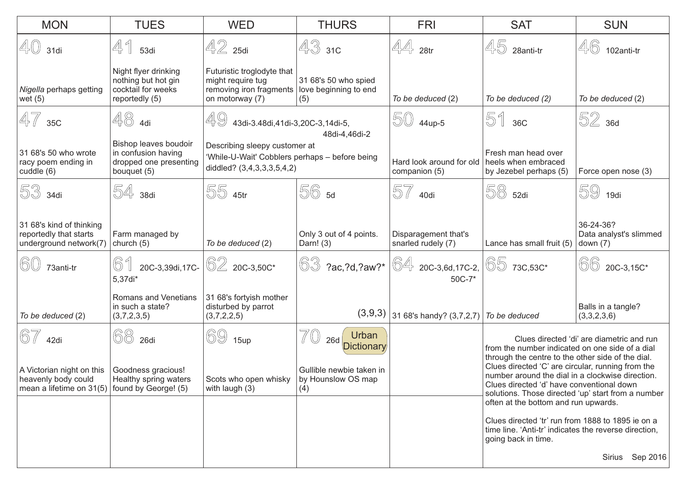| <b>MON</b>                                                                                        | <b>TUES</b>                                                                           | <b>WED</b>                                                                                                    | <b>THURS</b>                                         | <b>FRI</b>                                                                                  | <b>SAT</b>                                                                                                                                                                                                                                                                                                                                                                            | <b>SUN</b>                                        |  |
|---------------------------------------------------------------------------------------------------|---------------------------------------------------------------------------------------|---------------------------------------------------------------------------------------------------------------|------------------------------------------------------|---------------------------------------------------------------------------------------------|---------------------------------------------------------------------------------------------------------------------------------------------------------------------------------------------------------------------------------------------------------------------------------------------------------------------------------------------------------------------------------------|---------------------------------------------------|--|
| 40<br>31di                                                                                        | 41<br>53di                                                                            | $42$ 25di                                                                                                     | $433$ 310                                            | 44<br>28 <sub>tr</sub>                                                                      | 45<br>28anti-tr                                                                                                                                                                                                                                                                                                                                                                       | 46<br>102anti-tr                                  |  |
| Nigella perhaps getting<br>wet $(5)$                                                              | Night flyer drinking<br>nothing but hot gin<br>cocktail for weeks<br>reportedly (5)   | Futuristic troglodyte that<br>might require tug<br>removing iron fragments<br>on motorway (7)                 | 31 68's 50 who spied<br>love beginning to end<br>(5) | To be deduced (2)                                                                           | To be deduced (2)                                                                                                                                                                                                                                                                                                                                                                     | To be deduced (2)                                 |  |
| 47<br>35C                                                                                         | $48$ 4di                                                                              | 49<br>43di-3.48di,41di-3,20C-3,14di-5,<br>48di-4,46di-2                                                       |                                                      | $504$ 44up-5                                                                                | 51<br>36C                                                                                                                                                                                                                                                                                                                                                                             | 52 36d                                            |  |
| 31 68's 50 who wrote<br>racy poem ending in<br>cuddle (6)                                         | Bishop leaves boudoir<br>in confusion having<br>dropped one presenting<br>bouquet (5) | Describing sleepy customer at<br>'While-U-Wait' Cobblers perhaps - before being<br>diddled? (3,4,3,3,3,5,4,2) |                                                      | Hard look around for old<br>companion (5)                                                   | Fresh man head over<br>heels when embraced<br>by Jezebel perhaps (5)                                                                                                                                                                                                                                                                                                                  | Force open nose (3)                               |  |
| 53<br>34di                                                                                        | 54<br>38di                                                                            | 55 45tr                                                                                                       | 56 5d                                                | 57<br>40di                                                                                  | 58 52di                                                                                                                                                                                                                                                                                                                                                                               | 59<br>19di                                        |  |
| 31 68's kind of thinking<br>reportedly that starts<br>underground network(7)                      | Farm managed by<br>church (5)                                                         | To be deduced (2)                                                                                             | Only 3 out of 4 points.<br>Darn! (3)                 | Disparagement that's<br>snarled rudely (7)                                                  | Lance has small fruit (5)                                                                                                                                                                                                                                                                                                                                                             | 36-24-36?<br>Data analyst's slimmed<br>down $(7)$ |  |
| 60<br>73anti-tr                                                                                   | 61<br>20C-3,39di,17C-<br>5,37di*                                                      | 62 20C-3,50C*                                                                                                 | $\circledS$ ?ac, ?d, ?aw?*                           | $\begin{array}{ l } \hline \circ \mathbb{4} & \text{20C-3,6d,17C-2,} \end{array}$<br>50C-7* | 65<br>73C,53C*                                                                                                                                                                                                                                                                                                                                                                        | 66<br>20C-3,15C*                                  |  |
| To be deduced (2)                                                                                 | Romans and Venetians<br>in such a state?<br>(3,7,2,3,5)                               | 31 68's fortyish mother<br>disturbed by parrot<br>(3,7,2,2,5)                                                 | (3,9,3)                                              | 31 68's handy? $(3,7,2,7)$ To be deduced                                                    |                                                                                                                                                                                                                                                                                                                                                                                       | Balls in a tangle?<br>(3,3,2,3,6)                 |  |
| 67<br>42di                                                                                        | 68<br>26di                                                                            | 69<br>15up                                                                                                    | Urban<br><b>26d</b><br>Dictionary                    |                                                                                             | Clues directed 'di' are diametric and run<br>from the number indicated on one side of a dial<br>through the centre to the other side of the dial.                                                                                                                                                                                                                                     |                                                   |  |
| A Victorian night on this<br>heavenly body could<br>mean a lifetime on 31(5) found by George! (5) | Goodness gracious!<br>Healthy spring waters                                           | Scots who open whisky   by Hounslow OS map<br>with laugh (3)                                                  | Gullible newbie taken in<br>(4)                      |                                                                                             | Clues directed 'C' are circular, running from the<br>number around the dial in a clockwise direction.<br>Clues directed 'd' have conventional down<br>solutions. Those directed 'up' start from a number<br>often at the bottom and run upwards.<br>Clues directed 'tr' run from 1888 to 1895 ie on a<br>time line. 'Anti-tr' indicates the reverse direction,<br>going back in time. |                                                   |  |
|                                                                                                   |                                                                                       |                                                                                                               |                                                      |                                                                                             |                                                                                                                                                                                                                                                                                                                                                                                       |                                                   |  |
|                                                                                                   |                                                                                       |                                                                                                               |                                                      |                                                                                             |                                                                                                                                                                                                                                                                                                                                                                                       | Sirius Sep 2016                                   |  |